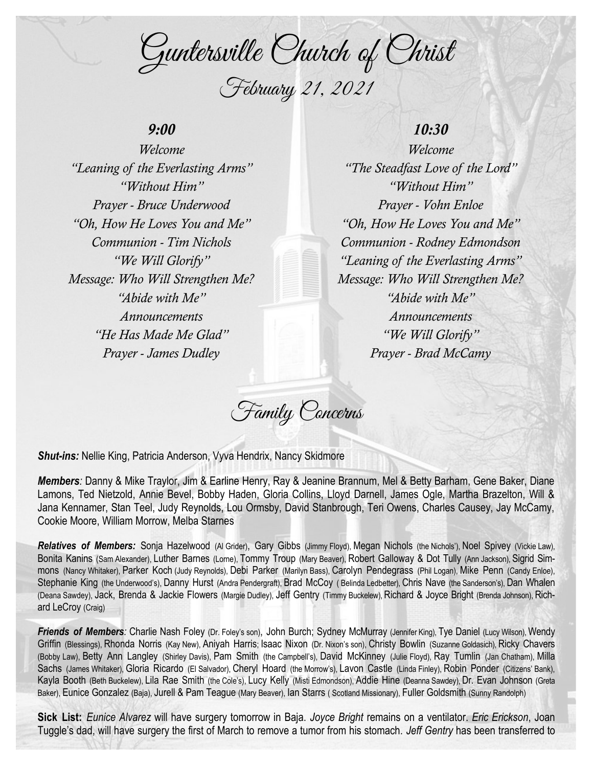Guntersville Church of Christ February 21, 2021

## *9:00*

*Welcome "Leaning of the Everlasting Arms" "Without Him" Prayer - Bruce Underwood "Oh, How He Loves You and Me" Communion - Tim Nichols "We Will Glorify" Message: Who Will Strengthen Me? "Abide with Me" Announcements "He Has Made Me Glad" Prayer - James Dudley*

## *10:30*

*Welcome "The Steadfast Love of the Lord" "Without Him" Prayer - Vohn Enloe "Oh, How He Loves You and Me" Communion - Rodney Edmondson "Leaning of the Everlasting Arms" Message: Who Will Strengthen Me? "Abide with Me" Announcements "We Will Glorify" Prayer - Brad McCamy*

Family Concerns

*Shut-ins:* Nellie King, Patricia Anderson, Vyva Hendrix, Nancy Skidmore

*Members:* Danny & Mike Traylor, Jim & Earline Henry, Ray & Jeanine Brannum, Mel & Betty Barham, Gene Baker, Diane Lamons, Ted Nietzold, Annie Bevel, Bobby Haden, Gloria Collins, Lloyd Darnell, James Ogle, Martha Brazelton, Will & Jana Kennamer, Stan Teel, Judy Reynolds, Lou Ormsby, David Stanbrough, Teri Owens, Charles Causey, Jay McCamy, Cookie Moore, William Morrow, Melba Starnes

*Relatives of Members:* Sonja Hazelwood (Al Grider), Gary Gibbs (Jimmy Floyd), Megan Nichols (the Nichols'), Noel Spivey (Vickie Law), Bonita Kanins (Sam Alexander), Luther Barnes (Lorne), Tommy Troup (Mary Beaver), Robert Galloway & Dot Tully (Ann Jackson), Sigrid Simmons (Nancy Whitaker), Parker Koch (Judy Reynolds), Debi Parker (Marilyn Bass), Carolyn Pendegrass (Phil Logan), Mike Penn (Candy Enloe), Stephanie King (the Underwood's), Danny Hurst (Andra Pendergraft), Brad McCoy ( Belinda Ledbetter), Chris Nave (the Sanderson's), Dan Whalen (Deana Sawdey), Jack, Brenda & Jackie Flowers (Margie Dudley), Jeff Gentry (Timmy Buckelew), Richard & Joyce Bright (Brenda Johnson), Richard LeCroy (Craig)

*Friends of Members:* Charlie Nash Foley (Dr. Foley's son), John Burch; Sydney McMurray (Jennifer King), Tye Daniel (Lucy Wilson), Wendy Griffin (Blessings), Rhonda Norris (Kay New), Aniyah Harris; Isaac Nixon (Dr. Nixon's son), Christy Bowlin (Suzanne Goldasich), Ricky Chavers (Bobby Law), Betty Ann Langley (Shirley Davis), Pam Smith (the Campbell's), David McKinney (Julie Floyd), Ray Tumlin (Jan Chatham), Milla Sachs (James Whitaker), Gloria Ricardo (El Salvador), Cheryl Hoard (the Morrow's), Lavon Castle (Linda Finley), Robin Ponder (Citizens' Bank), Kayla Booth (Beth Buckelew), Lila Rae Smith (the Cole's), Lucy Kelly (Misti Edmondson), Addie Hine (Deanna Sawdey), Dr. Evan Johnson (Greta Baker), Eunice Gonzalez (Baja), Jurell & Pam Teague (Mary Beaver), Ian Starrs ( Scotland Missionary), Fuller Goldsmith (Sunny Randolph)

**Sick List:** *Eunice Alvarez* will have surgery tomorrow in Baja. *Joyce Bright* remains on a ventilator. *Eric Erickson*, Joan Tuggle's dad, will have surgery the first of March to remove a tumor from his stomach. *Jeff Gentry* has been transferred to